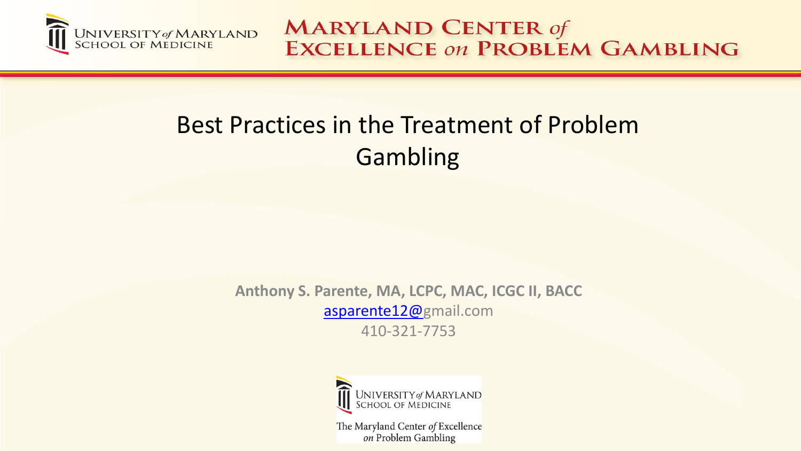

## Best Practices in the Treatment of Problem Gambling

**Anthony S. Parente, MA, LCPC, MAC, ICGC II, BACC** [asparente12@](mailto:asparente12@)gmail.com 410-321-7753



The Maryland Center of Excellence on Problem Gambling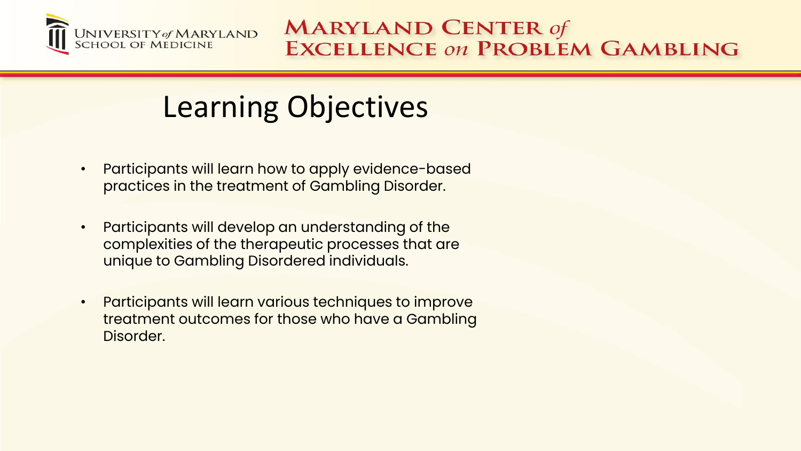

## Learning Objectives

- Participants will learn how to apply evidence-based practices in the treatment of Gambling Disorder.
- Participants will develop an understanding of the complexities of the therapeutic processes that are unique to Gambling Disordered individuals.
- Participants will learn various techniques to improve treatment outcomes for those who have a Gambling Disorder.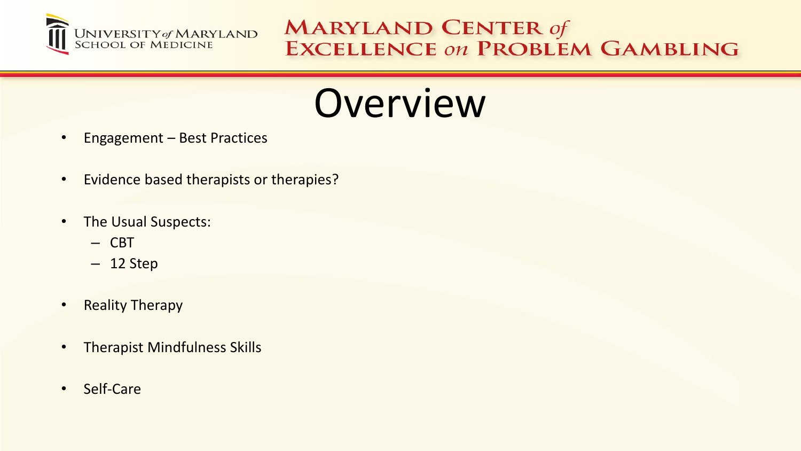

# **Overview**

- Engagement Best Practices
- Evidence based therapists or therapies?
- The Usual Suspects:
	- CBT
	- 12 Step
- Reality Therapy
- Therapist Mindfulness Skills
- Self-Care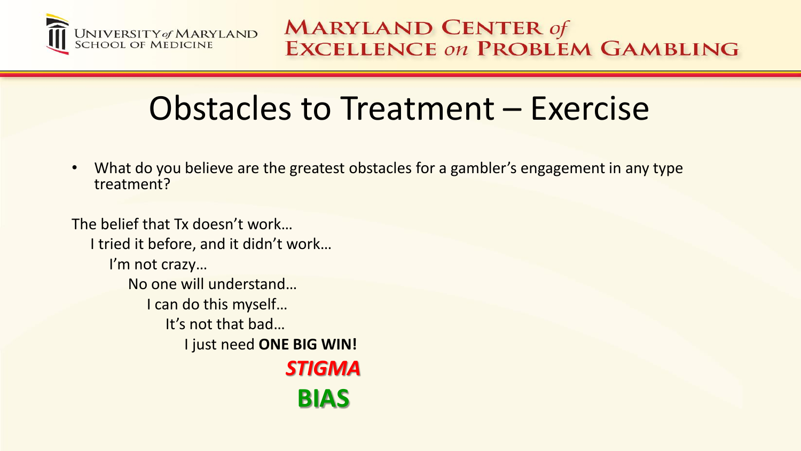

# Obstacles to Treatment – Exercise

What do you believe are the greatest obstacles for a gambler's engagement in any type treatment?

The belief that Tx doesn't work… I tried it before, and it didn't work… I'm not crazy… No one will understand… I can do this myself… It's not that bad… I just need **ONE BIG WIN!** *STIGMA* **BIAS**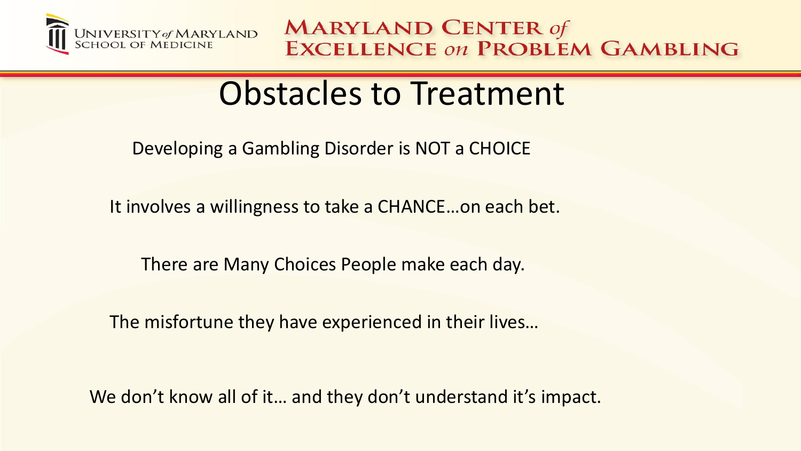

## Obstacles to Treatment

Developing a Gambling Disorder is NOT a CHOICE

It involves a willingness to take a CHANCE…on each bet.

There are Many Choices People make each day.

The misfortune they have experienced in their lives…

We don't know all of it... and they don't understand it's impact.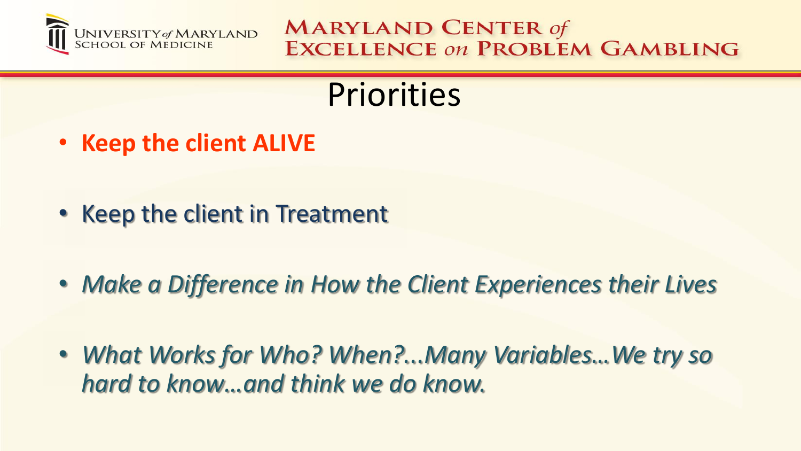

# **Priorities**

- **Keep the client ALIVE**
- Keep the client in Treatment
- *Make a Difference in How the Client Experiences their Lives*
- *What Works for Who? When?...Many Variables…We try so hard to know…and think we do know.*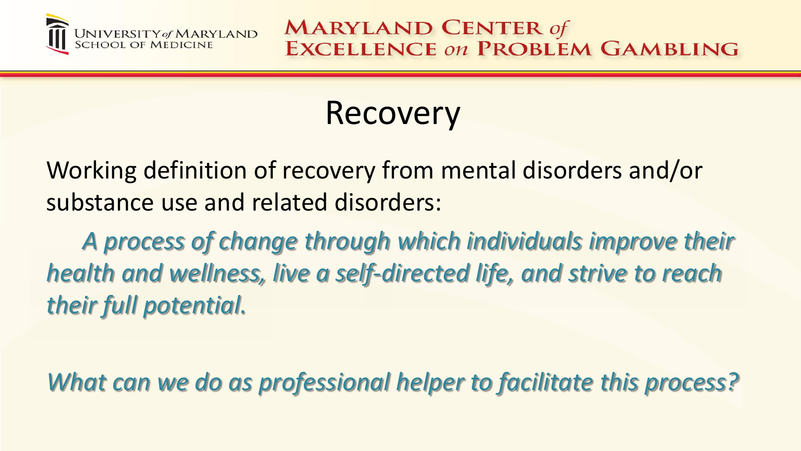

# Recovery

Working definition of recovery from mental disorders and/or substance use and related disorders:

*A process of change through which individuals improve their health and wellness, live a self-directed life, and strive to reach their full potential.* 

*What can we do as professional helper to facilitate this process?*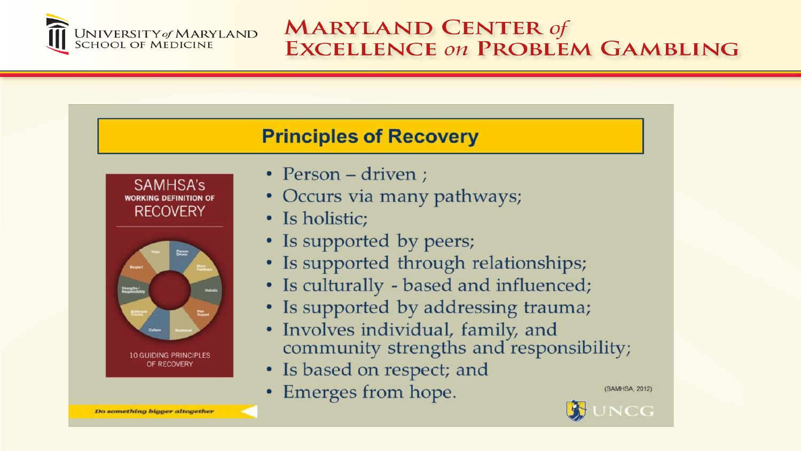

#### **Principles of Recovery**





- Person driven;
- Occurs via many pathways;
- Is holistic;
- Is supported by peers;
- · Is supported through relationships;
- Is culturally based and influenced;
- Is supported by addressing trauma;
- Involves individual, family, and community strengths and responsibility;
- Is based on respect; and
- Emerges from hope.

(SAMHSA, 2012)



Do something bigger altogether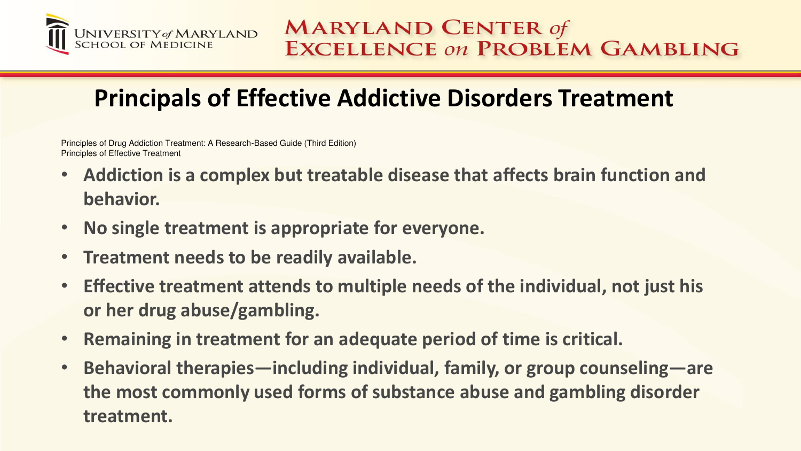

### **Principals of Effective Addictive Disorders Treatment**

Principles of Drug Addiction Treatment: A Research-Based Guide (Third Edition) Principles of Effective Treatment

- **Addiction is a complex but treatable disease that affects brain function and behavior.**
- **No single treatment is appropriate for everyone.**
- **Treatment needs to be readily available.**
- **Effective treatment attends to multiple needs of the individual, not just his or her drug abuse/gambling.**
- **Remaining in treatment for an adequate period of time is critical.**
- **Behavioral therapies—including individual, family, or group counseling—are the most commonly used forms of substance abuse and gambling disorder treatment.**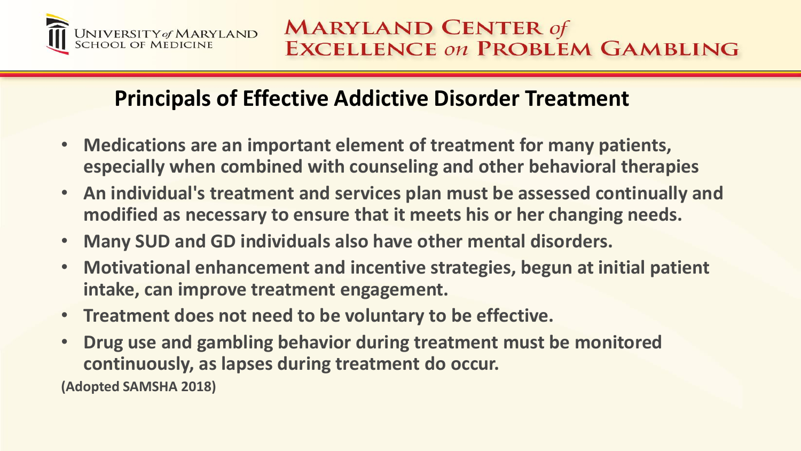

#### **Principals of Effective Addictive Disorder Treatment**

- **Medications are an important element of treatment for many patients, especially when combined with counseling and other behavioral therapies**
- **An individual's treatment and services plan must be assessed continually and modified as necessary to ensure that it meets his or her changing needs.**
- **Many SUD and GD individuals also have other mental disorders.**
- **Motivational enhancement and incentive strategies, begun at initial patient intake, can improve treatment engagement.**
- **Treatment does not need to be voluntary to be effective.**
- **Drug use and gambling behavior during treatment must be monitored continuously, as lapses during treatment do occur.**

**(Adopted SAMSHA 2018)**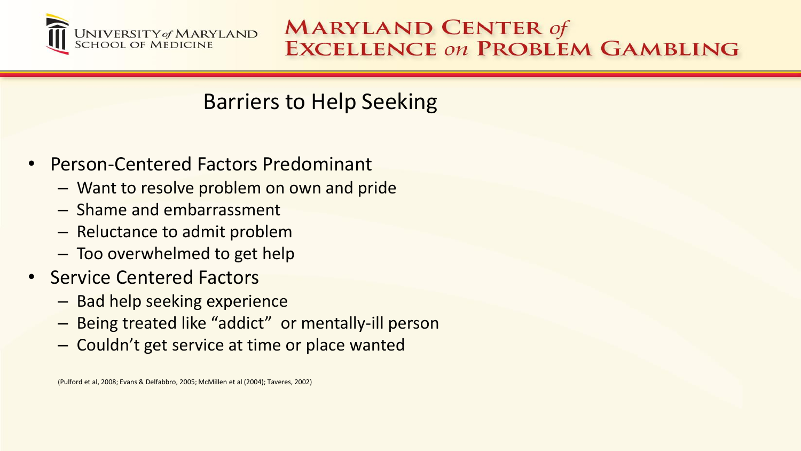

#### Barriers to Help Seeking

- Person-Centered Factors Predominant
	- Want to resolve problem on own and pride
	- Shame and embarrassment
	- Reluctance to admit problem
	- Too overwhelmed to get help
- Service Centered Factors
	- Bad help seeking experience
	- Being treated like "addict" or mentally-ill person
	- Couldn't get service at time or place wanted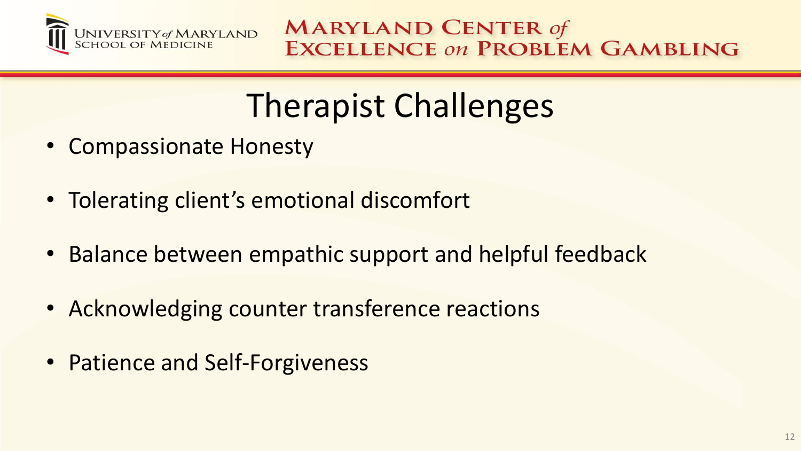

# Therapist Challenges

- Compassionate Honesty
- Tolerating client's emotional discomfort
- Balance between empathic support and helpful feedback
- Acknowledging counter transference reactions
- Patience and Self-Forgiveness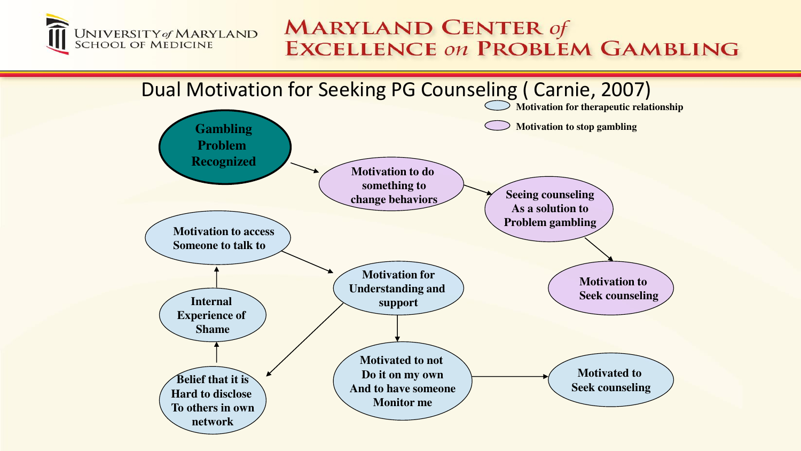

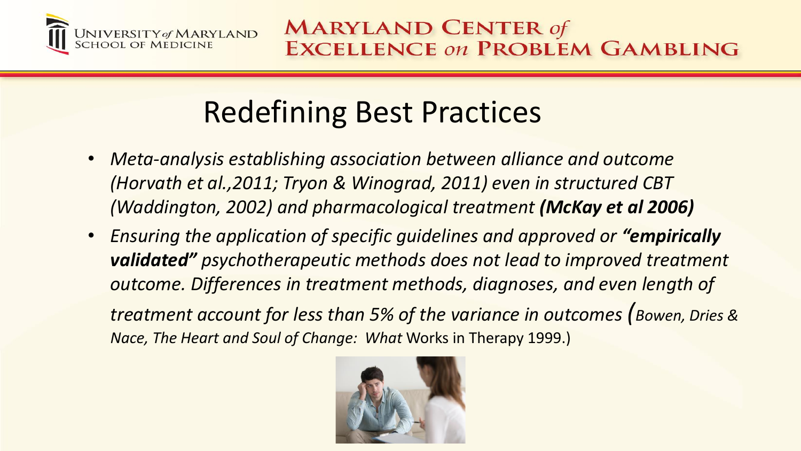

# Redefining Best Practices

- *Meta-analysis establishing association between alliance and outcome (Horvath et al.,2011; Tryon & Winograd, 2011) even in structured CBT (Waddington, 2002) and pharmacological treatment (McKay et al 2006)*
- *Ensuring the application of specific guidelines and approved or "empirically validated" psychotherapeutic methods does not lead to improved treatment outcome. Differences in treatment methods, diagnoses, and even length of treatment account for less than 5% of the variance in outcomes (Bowen, Dries & Nace, The Heart and Soul of Change: What* Works in Therapy 1999.)

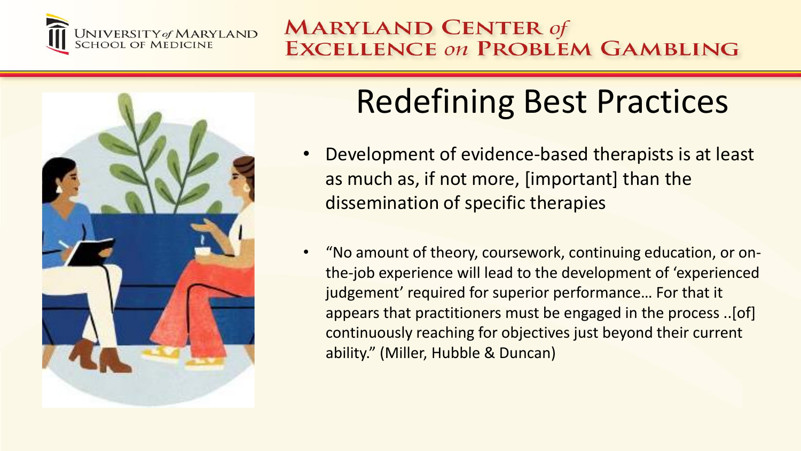



# Redefining Best Practices

- Development of evidence-based therapists is at least as much as, if not more, [important] than the dissemination of specific therapies
- "No amount of theory, coursework, continuing education, or onthe-job experience will lead to the development of 'experienced judgement' required for superior performance… For that it appears that practitioners must be engaged in the process ..[of] continuously reaching for objectives just beyond their current ability." (Miller, Hubble & Duncan)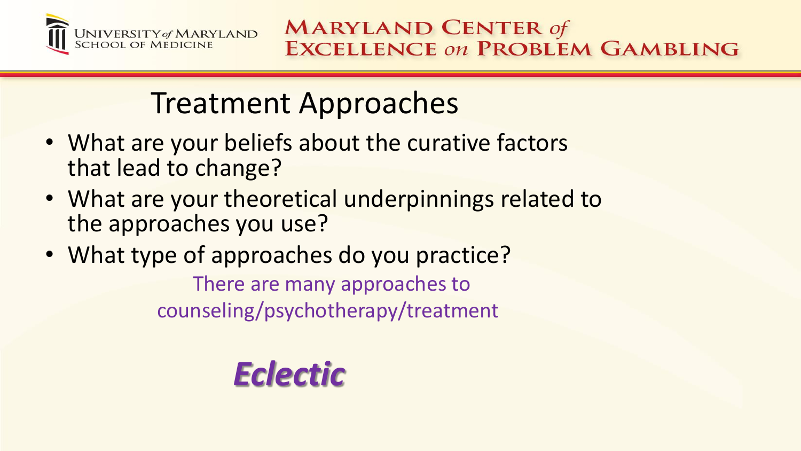

## Treatment Approaches

- What are your beliefs about the curative factors that lead to change?
- What are your theoretical underpinnings related to the approaches you use?
- What type of approaches do you practice? There are many approaches to counseling/psychotherapy/treatment

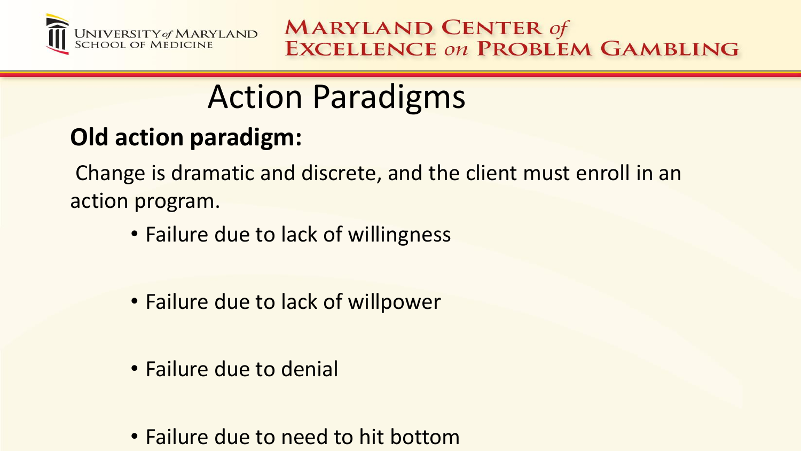

# Action Paradigms

## **Old action paradigm:**

Change is dramatic and discrete, and the client must enroll in an action program.

- Failure due to lack of willingness
- Failure due to lack of willpower
- Failure due to denial
- Failure due to need to hit bottom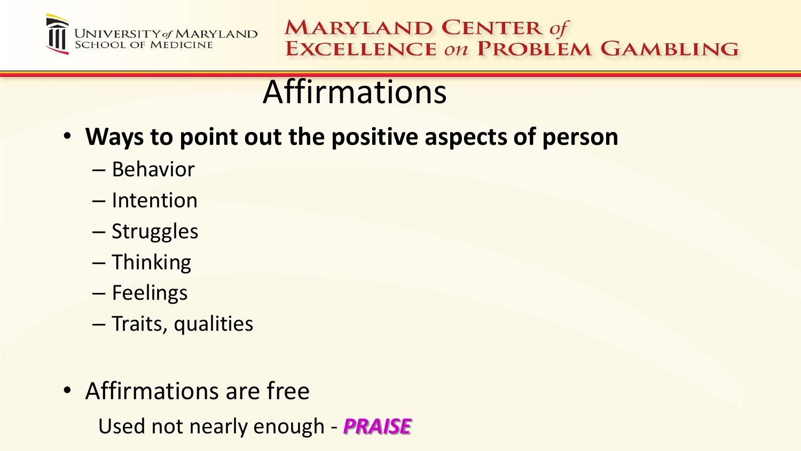

# Affirmations

- **Ways to point out the positive aspects of person**
	- Behavior
	- Intention
	- Struggles
	- Thinking
	- Feelings
	- Traits, qualities
- Affirmations are free

Used not nearly enough - *PRAISE*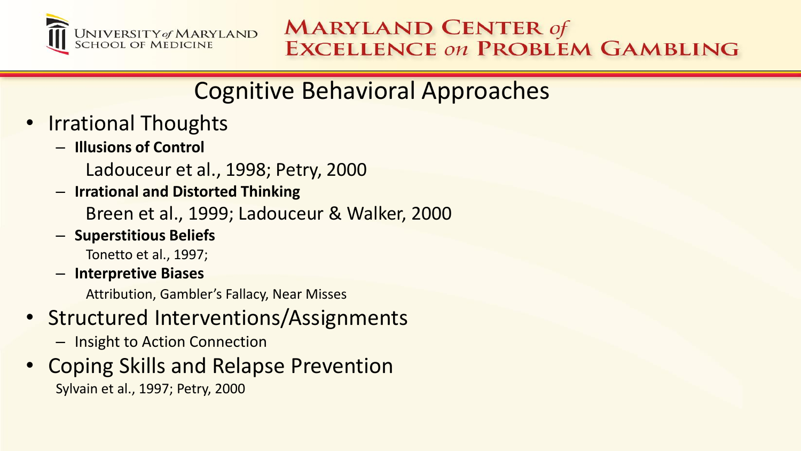

## Cognitive Behavioral Approaches

- Irrational Thoughts
	- **Illusions of Control** 
		- Ladouceur et al., 1998; Petry, 2000
	- **Irrational and Distorted Thinking**

Breen et al., 1999; Ladouceur & Walker, 2000

– **Superstitious Beliefs**

Tonetto et al., 1997;

– **Interpretive Biases**

Attribution, Gambler's Fallacy, Near Misses

- Structured Interventions/Assignments
	- Insight to Action Connection
- Coping Skills and Relapse Prevention Sylvain et al., 1997; Petry, 2000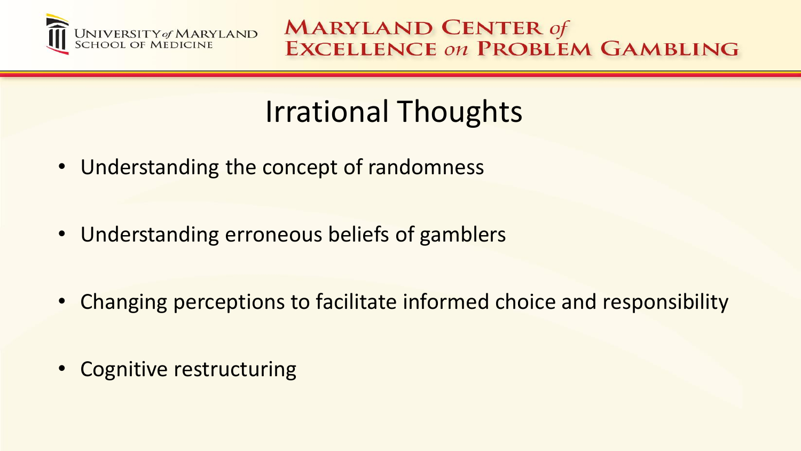

## Irrational Thoughts

- Understanding the concept of randomness
- Understanding erroneous beliefs of gamblers
- Changing perceptions to facilitate informed choice and responsibility
- Cognitive restructuring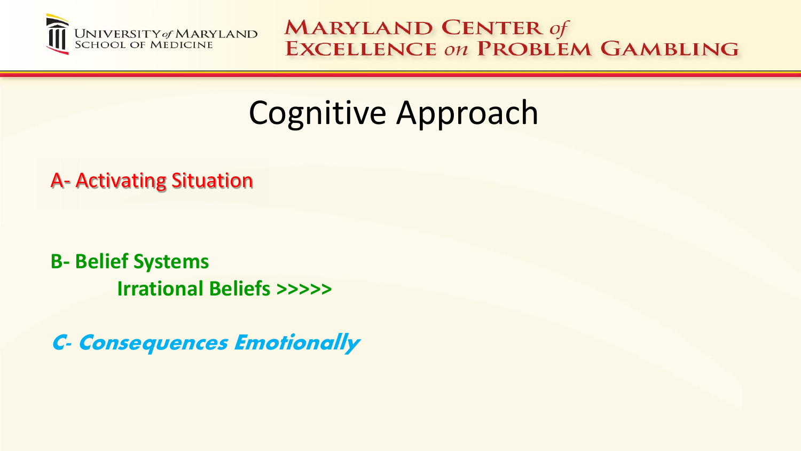

# Cognitive Approach

A- Activating Situation

**B- Belief Systems Irrational Beliefs >>>>>**

C- Consequences Emotionally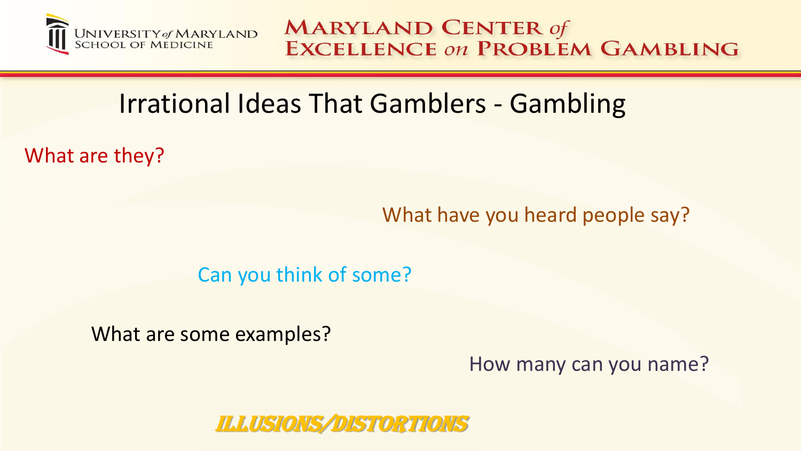

## Irrational Ideas That Gamblers - Gambling

What are they?

What have you heard people say?

#### Can you think of some?

What are some examples?

How many can you name?

#### ILLUSIONS/DISTORTIONS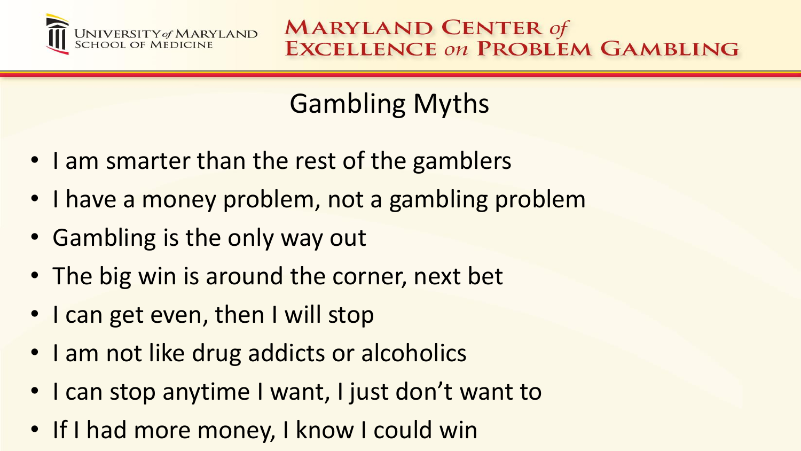

## Gambling Myths

- I am smarter than the rest of the gamblers
- I have a money problem, not a gambling problem
- Gambling is the only way out
- The big win is around the corner, next bet
- I can get even, then I will stop
- I am not like drug addicts or alcoholics
- I can stop anytime I want, I just don't want to
- If I had more money, I know I could win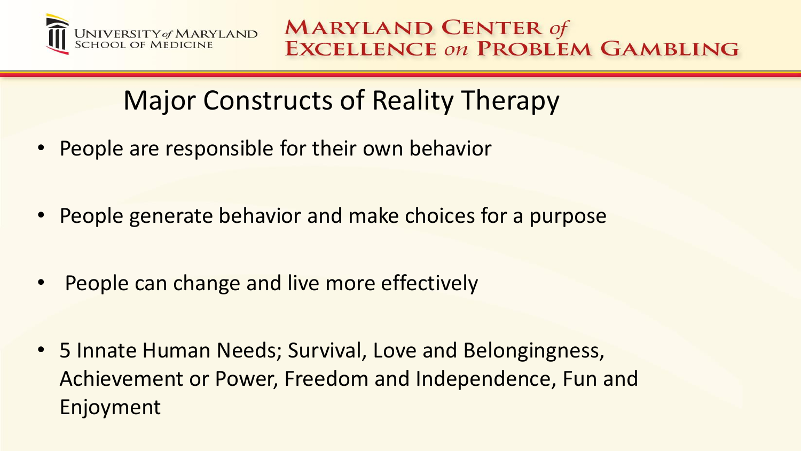

## Major Constructs of Reality Therapy

- People are responsible for their own behavior
- People generate behavior and make choices for a purpose
- People can change and live more effectively
- 5 Innate Human Needs; Survival, Love and Belongingness, Achievement or Power, Freedom and Independence, Fun and Enjoyment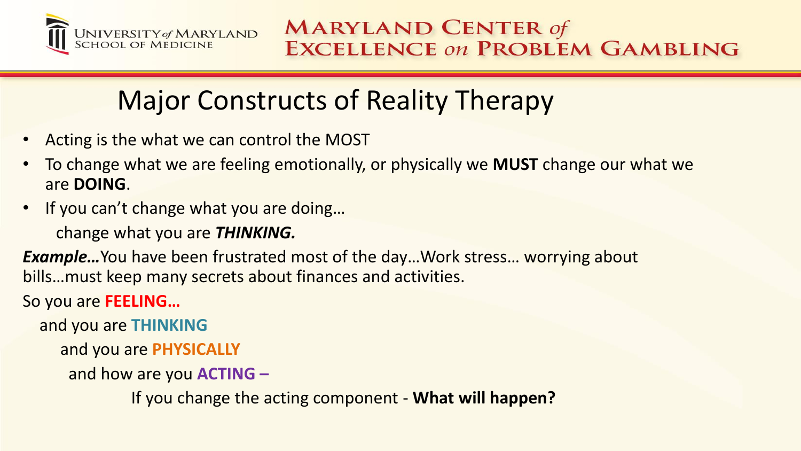

## Major Constructs of Reality Therapy

- Acting is the what we can control the MOST
- To change what we are feeling emotionally, or physically we **MUST** change our what we are **DOING**.
- If you can't change what you are doing...

change what you are *THINKING.*

*Example*... You have been frustrated most of the day... Work stress... worrying about bills…must keep many secrets about finances and activities.

So you are **FEELING…** 

and you are **THINKING**

and you are **PHYSICALLY**

and how are you **ACTING –**

If you change the acting component - **What will happen?**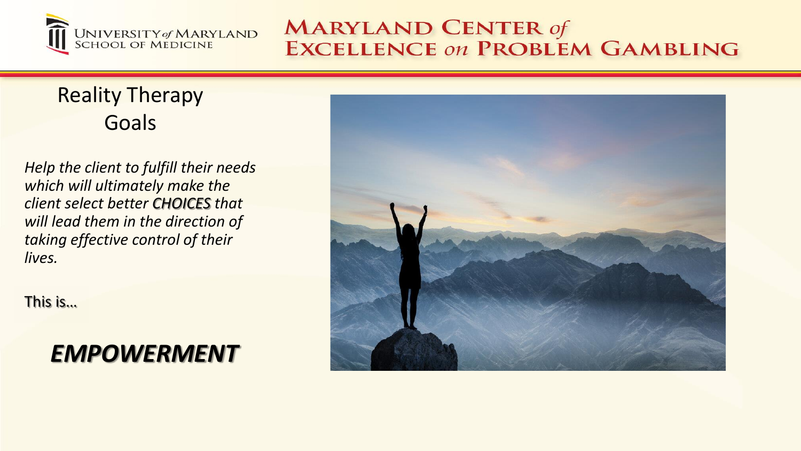

#### Reality Therapy Goals

*Help the client to fulfill their needs which will ultimately make the client select better CHOICES that will lead them in the direction of taking effective control of their lives.*

This is…

#### *EMPOWERMENT*

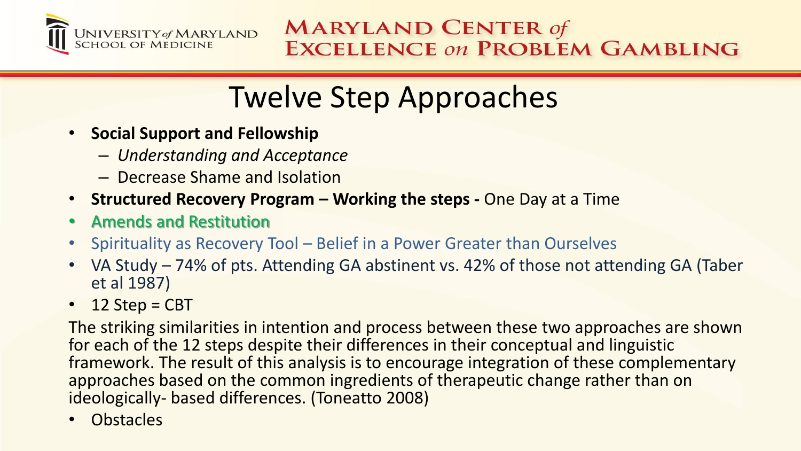

## Twelve Step Approaches

- **Social Support and Fellowship**
	- *Understanding and Acceptance*
	- Decrease Shame and Isolation
- **Structured Recovery Program – Working the steps -** One Day at a Time
- Amends and Restitution
- Spirituality as Recovery Tool Belief in a Power Greater than Ourselves
- VA Study 74% of pts. Attending GA abstinent vs. 42% of those not attending GA (Taber et al 1987)
- $\cdot$  12 Step = CBT

The striking similarities in intention and process between these two approaches are shown for each of the 12 steps despite their differences in their conceptual and linguistic framework. The result of this analysis is to encourage integration of these complementary approaches based on the common ingredients of therapeutic change rather than on ideologically- based differences. (Toneatto 2008)

• Obstacles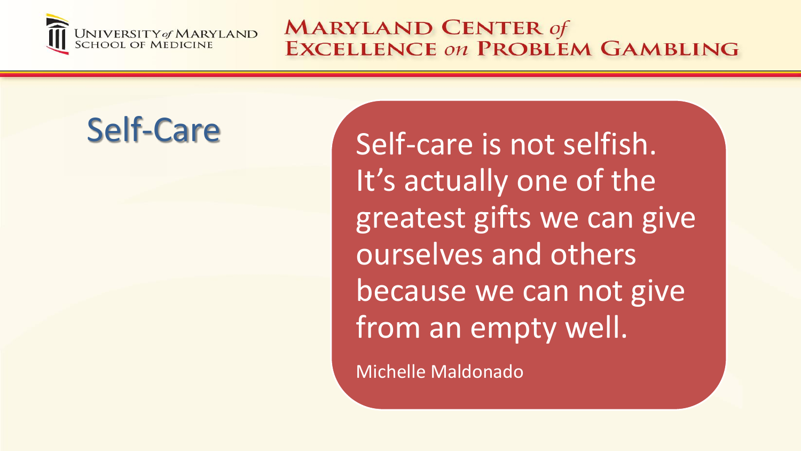

Self-Care Self-care is not selfish. It's actually one of the greatest gifts we can give ourselves and others because we can not give from an empty well.

Michelle Maldonado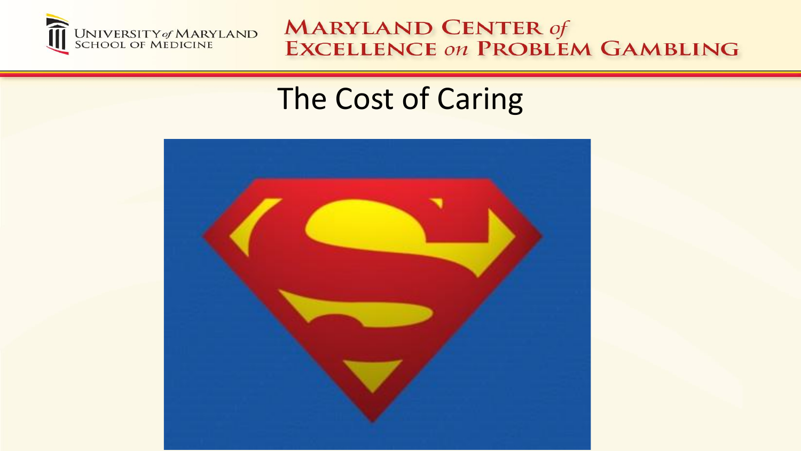

## The Cost of Caring

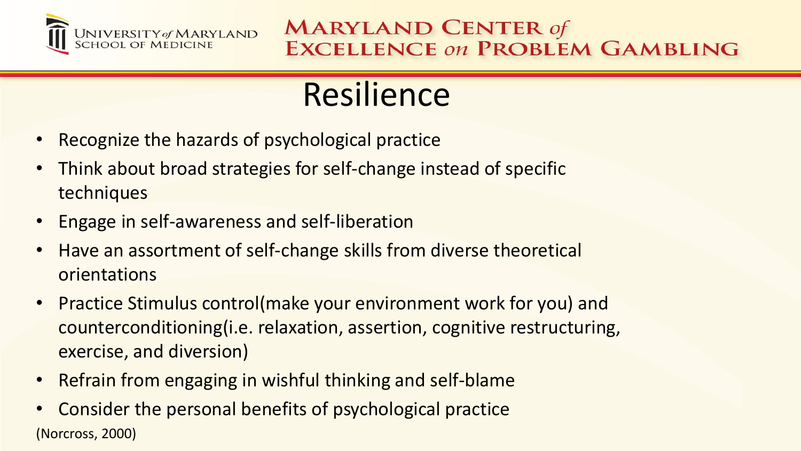

# Resilience

- Recognize the hazards of psychological practice
- Think about broad strategies for self-change instead of specific techniques
- Engage in self-awareness and self-liberation
- Have an assortment of self-change skills from diverse theoretical orientations
- Practice Stimulus control(make your environment work for you) and counterconditioning(i.e. relaxation, assertion, cognitive restructuring, exercise, and diversion)
- Refrain from engaging in wishful thinking and self-blame
- Consider the personal benefits of psychological practice (Norcross, 2000)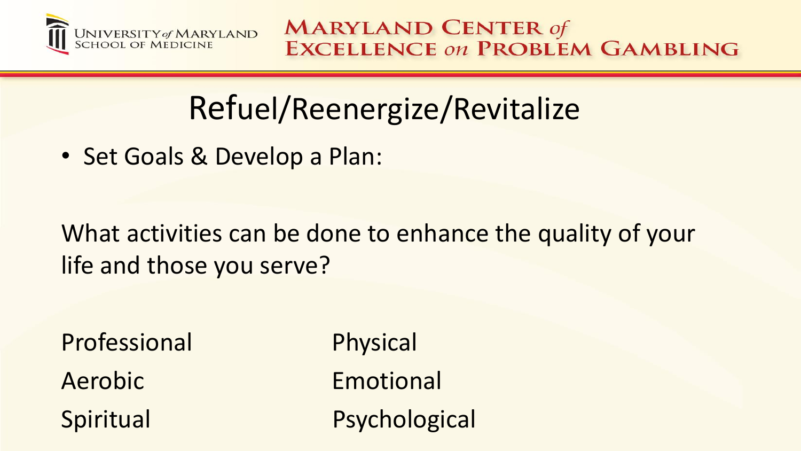

# Refuel/Reenergize/Revitalize

• Set Goals & Develop a Plan:

What activities can be done to enhance the quality of your life and those you serve?

Professional Physical Aerobic Emotional Spiritual Psychological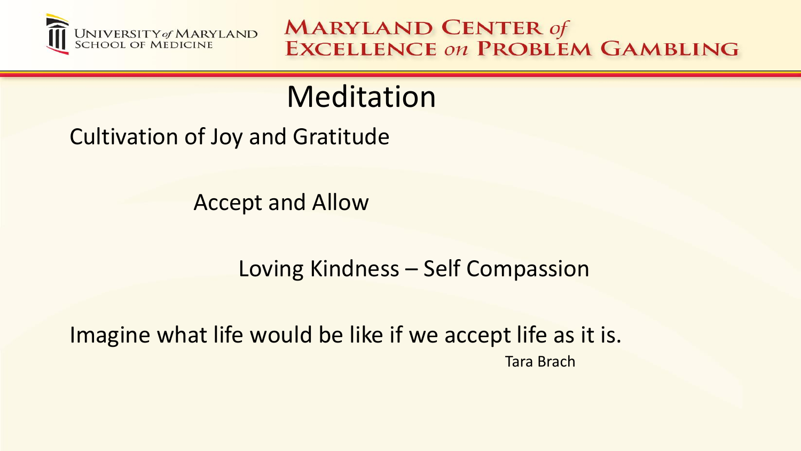

## **Meditation**

Cultivation of Joy and Gratitude

Accept and Allow

Loving Kindness – Self Compassion

Imagine what life would be like if we accept life as it is. Tara Brach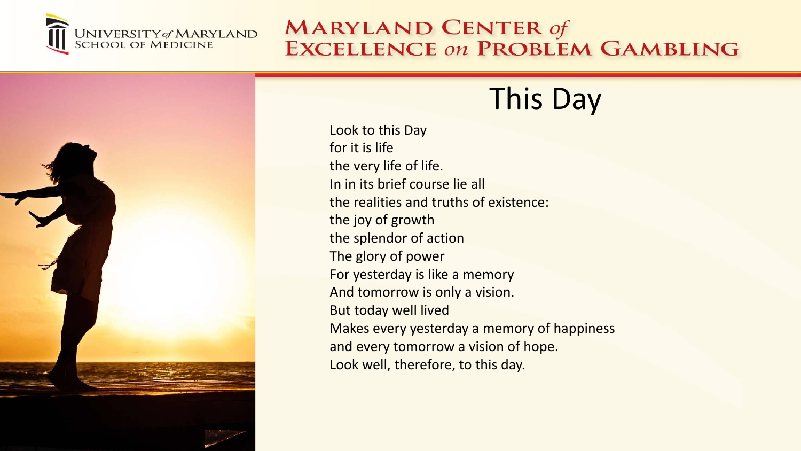



## This Day

Look to this Day for it is life the very life of life. In in its brief course lie all the realities and truths of existence: the joy of growth the splendor of action The glory of power For yesterday is like a memory And tomorrow is only a vision. But today well lived Makes every yesterday a memory of happiness and every tomorrow a vision of hope. Look well, therefore, to this day.